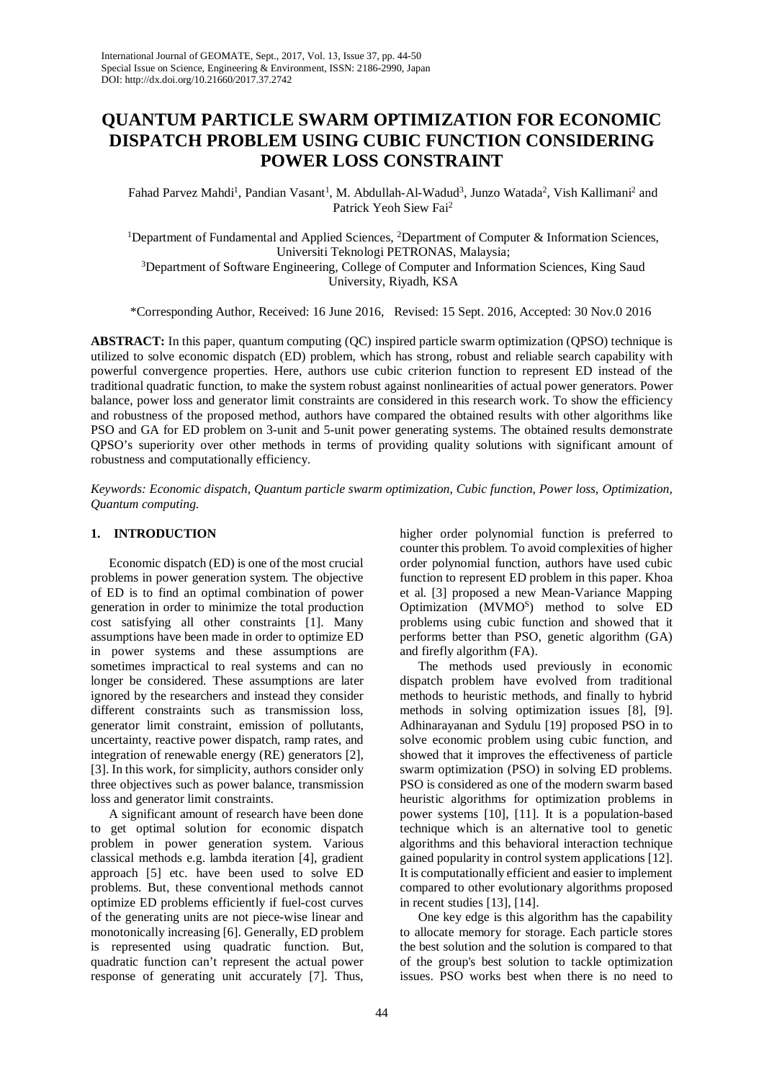# **QUANTUM PARTICLE SWARM OPTIMIZATION FOR ECONOMIC DISPATCH PROBLEM USING CUBIC FUNCTION CONSIDERING POWER LOSS CONSTRAINT**

Fahad Parvez Mahdi<sup>1</sup>, Pandian Vasant<sup>1</sup>, M. Abdullah-Al-Wadud<sup>3</sup>, Junzo Watada<sup>2</sup>, Vish Kallimani<sup>2</sup> and Patrick Yeoh Siew Fai2

<sup>1</sup>Department of Fundamental and Applied Sciences, <sup>2</sup>Department of Computer & Information Sciences, Universiti Teknologi PETRONAS, Malaysia; <sup>3</sup>Department of Software Engineering, College of Computer and Information Sciences, King Saud University, Riyadh, KSA

\*Corresponding Author, Received: 16 June 2016, Revised: 15 Sept. 2016, Accepted: 30 Nov.0 2016

**ABSTRACT:** In this paper, quantum computing (QC) inspired particle swarm optimization (QPSO) technique is utilized to solve economic dispatch (ED) problem, which has strong, robust and reliable search capability with powerful convergence properties. Here, authors use cubic criterion function to represent ED instead of the traditional quadratic function, to make the system robust against nonlinearities of actual power generators. Power balance, power loss and generator limit constraints are considered in this research work. To show the efficiency and robustness of the proposed method, authors have compared the obtained results with other algorithms like PSO and GA for ED problem on 3-unit and 5-unit power generating systems. The obtained results demonstrate QPSO's superiority over other methods in terms of providing quality solutions with significant amount of robustness and computationally efficiency.

*Keywords: Economic dispatch, Quantum particle swarm optimization, Cubic function, Power loss, Optimization, Quantum computing.*

## **1. INTRODUCTION**

Economic dispatch (ED) is one of the most crucial problems in power generation system. The objective of ED is to find an optimal combination of power generation in order to minimize the total production cost satisfying all other constraints [\[1\]](#page-5-0). Many assumptions have been made in order to optimize ED in power systems and these assumptions are sometimes impractical to real systems and can no longer be considered. These assumptions are later ignored by the researchers and instead they consider different constraints such as transmission loss, generator limit constraint, emission of pollutants, uncertainty, reactive power dispatch, ramp rates, and integration of renewable energy (RE) generators [\[2\]](#page-5-1), [\[3\]](#page-5-2). In this work, for simplicity, authors consider only three objectives such as power balance, transmission loss and generator limit constraints.

A significant amount of research have been done to get optimal solution for economic dispatch problem in power generation system. Various classical methods e.g. lambda iteration [\[4\]](#page-6-0), gradient approach [\[5\]](#page-6-1) etc. have been used to solve ED problems. But, these conventional methods cannot optimize ED problems efficiently if fuel-cost curves of the generating units are not piece-wise linear and monotonically increasing [\[6\]](#page-6-2). Generally, ED problem is represented using quadratic function. But, quadratic function can't represent the actual power response of generating unit accurately [\[7\]](#page-6-3). Thus, higher order polynomial function is preferred to counter this problem. To avoid complexities of higher order polynomial function, authors have used cubic function to represent ED problem in this paper. Khoa et al. [3] proposed a new Mean-Variance Mapping Optimization (MVMOS) method to solve ED problems using cubic function and showed that it performs better than PSO, genetic algorithm (GA) and firefly algorithm (FA).

The methods used previously in economic dispatch problem have evolved from traditional methods to heuristic methods, and finally to hybrid methods in solving optimization issues [\[8\]](#page-6-4), [\[9\]](#page-6-5). Adhinarayanan and Sydulu [19] proposed PSO in to solve economic problem using cubic function, and showed that it improves the effectiveness of particle swarm optimization (PSO) in solving ED problems. PSO is considered as one of the modern swarm based heuristic algorithms for optimization problems in power systems [\[10\]](#page-6-6), [\[11\]](#page-6-7). It is a population-based technique which is an alternative tool to genetic algorithms and this behavioral interaction technique gained popularity in control system applications [\[12\]](#page-6-8). It is computationally efficient and easier to implement compared to other evolutionary algorithms proposed in recent studies [\[13\]](#page-6-9), [\[14\]](#page-6-10).

One key edge is this algorithm has the capability to allocate memory for storage. Each particle stores the best solution and the solution is compared to that of the group's best solution to tackle optimization issues. PSO works best when there is no need to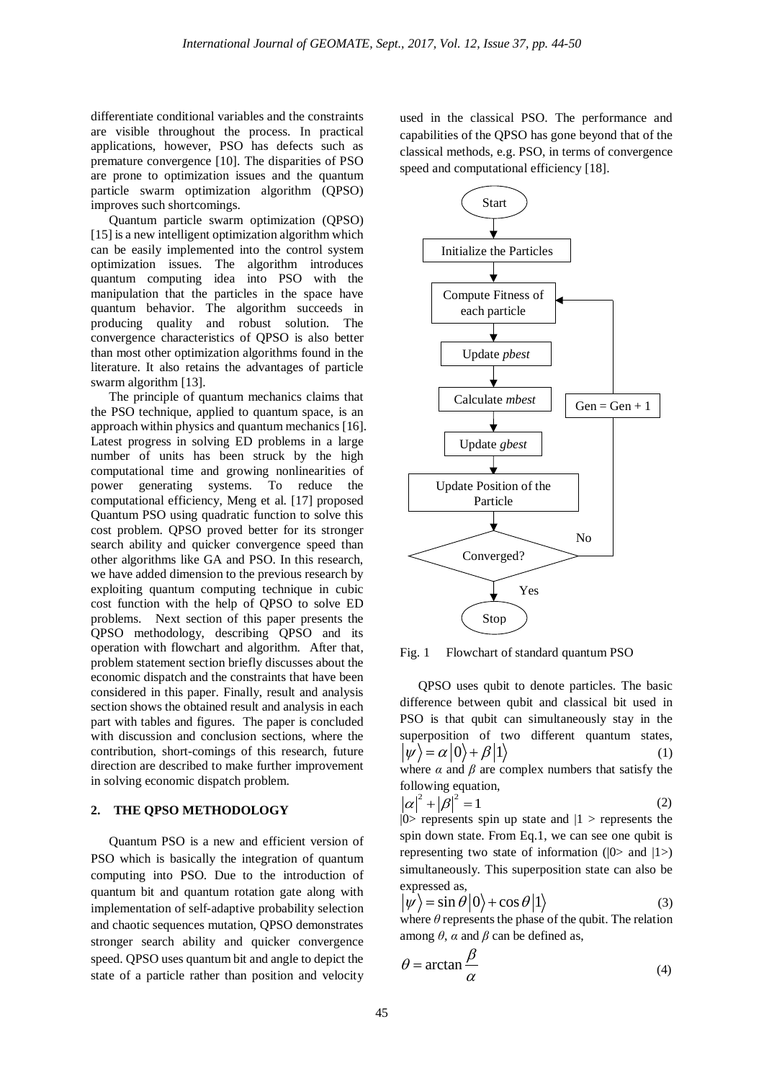differentiate conditional variables and the constraints are visible throughout the process. In practical applications, however, PSO has defects such as premature convergence [10]. The disparities of PSO are prone to optimization issues and the quantum particle swarm optimization algorithm (QPSO) improves such shortcomings.

Quantum particle swarm optimization (QPSO) [\[15\]](#page-6-11) is a new intelligent optimization algorithm which can be easily implemented into the control system optimization issues. The algorithm introduces quantum computing idea into PSO with the manipulation that the particles in the space have quantum behavior. The algorithm succeeds in producing quality and robust solution. The convergence characteristics of QPSO is also better than most other optimization algorithms found in the literature. It also retains the advantages of particle swarm algorithm [13].

The principle of quantum mechanics claims that the PSO technique, applied to quantum space, is an approach within physics and quantum mechanics [\[16\]](#page-6-12). Latest progress in solving ED problems in a large number of units has been struck by the high computational time and growing nonlinearities of power generating systems. To reduce the computational efficiency, Meng et al. [\[17\]](#page-6-13) proposed Quantum PSO using quadratic function to solve this cost problem. QPSO proved better for its stronger search ability and quicker convergence speed than other algorithms like GA and PSO. In this research, we have added dimension to the previous research by exploiting quantum computing technique in cubic cost function with the help of QPSO to solve ED problems. Next section of this paper presents the QPSO methodology, describing QPSO and its operation with flowchart and algorithm. After that, problem statement section briefly discusses about the economic dispatch and the constraints that have been considered in this paper. Finally, result and analysis section shows the obtained result and analysis in each part with tables and figures. The paper is concluded with discussion and conclusion sections, where the contribution, short-comings of this research, future direction are described to make further improvement in solving economic dispatch problem.

### **2. THE QPSO METHODOLOGY**

Quantum PSO is a new and efficient version of PSO which is basically the integration of quantum computing into PSO. Due to the introduction of quantum bit and quantum rotation gate along with implementation of self-adaptive probability selection and chaotic sequences mutation, QPSO demonstrates stronger search ability and quicker convergence speed. QPSO uses quantum bit and angle to depict the state of a particle rather than position and velocity

used in the classical PSO. The performance and capabilities of the QPSO has gone beyond that of the classical methods, e.g. PSO, in terms of convergence speed and computational efficiency [\[18\]](#page-6-14).



Fig. 1 Flowchart of standard quantum PSO

QPSO uses qubit to denote particles. The basic difference between qubit and classical bit used in PSO is that qubit can simultaneously stay in the superposition of two different quantum states,  $|\psi\rangle = \alpha |0\rangle + \beta |1\rangle$  (1) where  $\alpha$  and  $\beta$  are complex numbers that satisfy the following equation,<br>  $|\alpha|^2 + |\beta|^2 = 1$  (2)

 $|0\rangle$  represents spin up state and  $|1\rangle$  represents the spin down state. From Eq.1, we can see one qubit is representing two state of information  $(|0\rangle$  and  $|1\rangle)$ simultaneously. This superposition state can also be expressed as,

$$
|\psi\rangle = \sin \theta |0\rangle + \cos \theta |1\rangle
$$
 (3)

where  $\theta$  represents the phase of the qubit. The relation among  $\theta$ ,  $\alpha$  and  $\beta$  can be defined as,

$$
\theta = \arctan \frac{\beta}{\alpha} \tag{4}
$$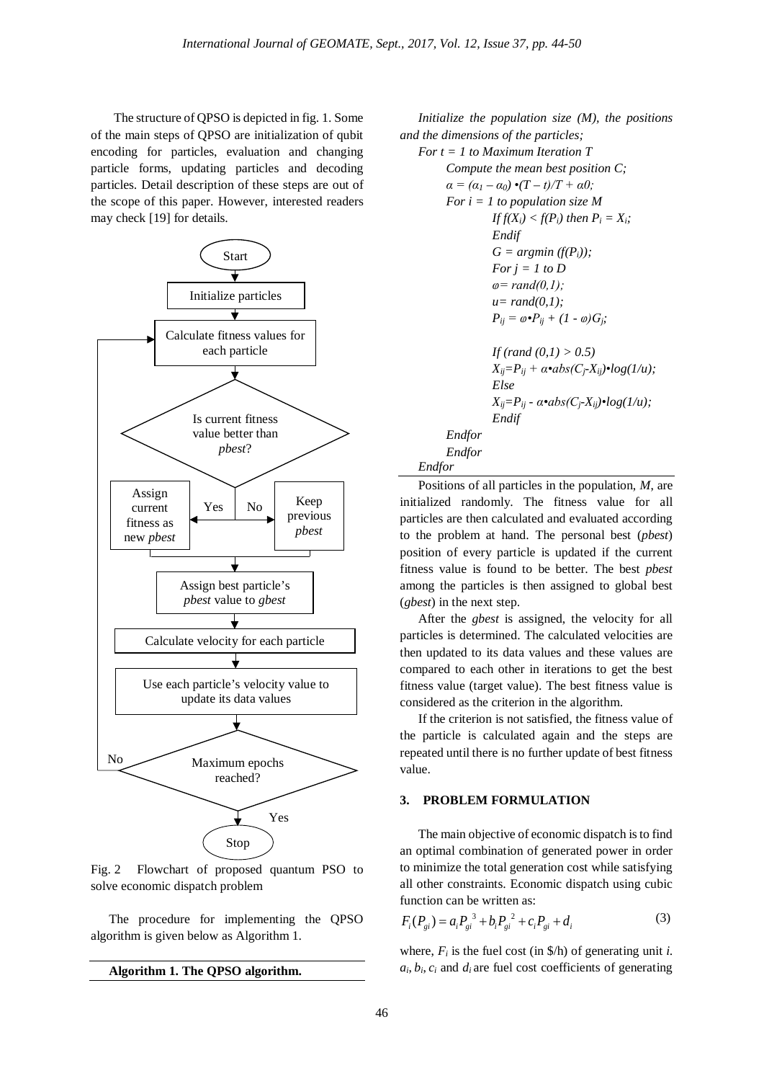The structure of QPSO is depicted in fig. 1. Some of the main steps of QPSO are initialization of qubit encoding for particles, evaluation and changing particle forms, updating particles and decoding particles. Detail description of these steps are out of the scope of this paper. However, interested readers may check [\[19\]](#page-6-15) for details.



Fig. 2 Flowchart of proposed quantum PSO to solve economic dispatch problem

The procedure for implementing the QPSO algorithm is given below as Algorithm 1.

```
Algorithm 1. The QPSO algorithm.
```
*Initialize the population size (M), the positions and the dimensions of the particles;* 



Positions of all particles in the population, *M*, are initialized randomly. The fitness value for all particles are then calculated and evaluated according to the problem at hand. The personal best (*pbest*) position of every particle is updated if the current fitness value is found to be better. The best *pbest* among the particles is then assigned to global best (*gbest*) in the next step.

After the *gbest* is assigned, the velocity for all particles is determined. The calculated velocities are then updated to its data values and these values are compared to each other in iterations to get the best fitness value (target value). The best fitness value is considered as the criterion in the algorithm.

If the criterion is not satisfied, the fitness value of the particle is calculated again and the steps are repeated until there is no further update of best fitness value.

# **3. PROBLEM FORMULATION**

The main objective of economic dispatch is to find an optimal combination of generated power in order to minimize the total generation cost while satisfying all other constraints. Economic dispatch using cubic function can be written as:

$$
F_i(P_{gi}) = a_i P_{gi}^3 + b_i P_{gi}^2 + c_i P_{gi} + d_i
$$
 (3)

where,  $F_i$  is the fuel cost (in  $\phi$ h) of generating unit *i*.  $a_i, b_i, c_i$  and  $d_i$  are fuel cost coefficients of generating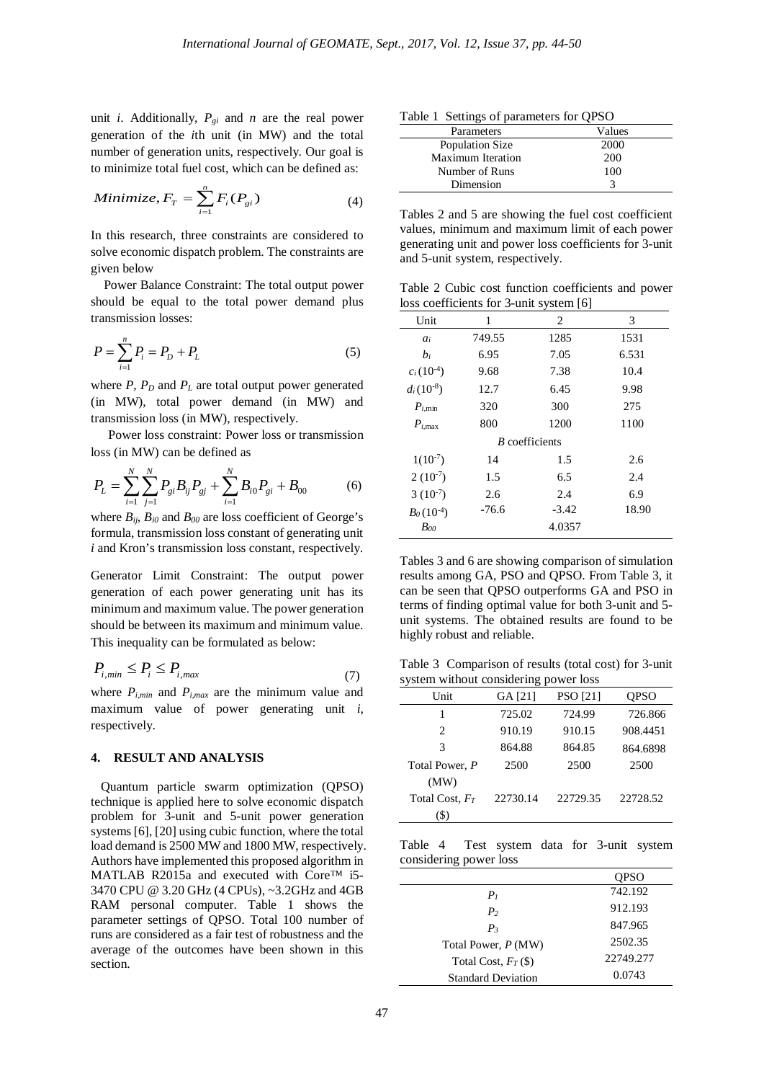unit *i*. Additionally,  $P_{gi}$  and *n* are the real power generation of the *i*th unit (in MW) and the total number of generation units, respectively. Our goal is to minimize total fuel cost, which can be defined as:

$$
Minimize, F_T = \sum_{i=1}^{n} F_i(P_{gi})
$$
\n(4)

In this research, three constraints are considered to solve economic dispatch problem. The constraints are given below

 Power Balance Constraint: The total output power should be equal to the total power demand plus transmission losses:

$$
P = \sum_{i=1}^{n} P_i = P_D + P_L \tag{5}
$$

where  $P$ ,  $P_D$  and  $P_L$  are total output power generated (in MW), total power demand (in MW) and transmission loss (in MW), respectively.

Power loss constraint: Power loss or transmission loss (in MW) can be defined as

$$
P_{L} = \sum_{i=1}^{N} \sum_{j=1}^{N} P_{gi} B_{ij} P_{gj} + \sum_{i=1}^{N} B_{i0} P_{gi} + B_{00}
$$
 (6)

where  $B_{ii}$ ,  $B_{i0}$  and  $B_{00}$  are loss coefficient of George's formula, transmission loss constant of generating unit *i* and Kron's transmission loss constant, respectively.

Generator Limit Constraint: The output power generation of each power generating unit has its minimum and maximum value. The power generation should be between its maximum and minimum value. This inequality can be formulated as below:

$$
P_{i,min} \le P_i \le P_{i,max} \tag{7}
$$

where  $P_{i,min}$  and  $P_{i,max}$  are the minimum value and maximum value of power generating unit *i*, respectively.

# **4. RESULT AND ANALYSIS**

 Quantum particle swarm optimization (QPSO) technique is applied here to solve economic dispatch problem for 3-unit and 5-unit power generation systems [\[6\]](#page-6-2), [\[20\]](#page-6-16) using cubic function, where the total load demand is 2500 MW and 1800 MW, respectively. Authors have implemented this proposed algorithm in MATLAB R2015a and executed with Core™ i5-3470 CPU @ 3.20 GHz (4 CPUs), ~3.2GHz and 4GB RAM personal computer. Table 1 shows the parameter settings of QPSO. Total 100 number of runs are considered as a fair test of robustness and the average of the outcomes have been shown in this section.

Table 1 Settings of parameters for QPSO

| Parameters        | Values |
|-------------------|--------|
| Population Size   | 2000   |
| Maximum Iteration | 200    |
| Number of Runs    | 100    |
| Dimension         |        |

Tables 2 and 5 are showing the fuel cost coefficient values, minimum and maximum limit of each power generating unit and power loss coefficients for 3-unit and 5-unit system, respectively.

Table 2 Cubic cost function coefficients and power loss coefficients for 3-unit system [\[6\]](#page-6-2)

| Unit                  | 1       | 2       | 3     |  |
|-----------------------|---------|---------|-------|--|
| $a_i$                 | 749.55  | 1285    | 1531  |  |
| $b_i$                 | 6.95    | 7.05    | 6.531 |  |
| $c_i(10^{-4})$        | 9.68    | 7.38    | 10.4  |  |
| $d_i(10^{-8})$        | 12.7    | 6.45    | 9.98  |  |
| $P_{i,\min}$          | 320     | 300     | 275   |  |
| $P_{i,\text{max}}$    | 800     | 1200    | 1100  |  |
| <i>B</i> coefficients |         |         |       |  |
| $1(10^{-7})$          | 14      | 1.5     | 2.6   |  |
| $2(10^{-7})$          | 1.5     | 6.5     | 2.4   |  |
| $3(10^{-7})$          | 2.6     | 2.4     | 6.9   |  |
| $B_0(10^{-4})$        | $-76.6$ | $-3.42$ | 18.90 |  |
| Boo                   |         | 4.0357  |       |  |

Tables 3 and 6 are showing comparison of simulation results among GA, PSO and QPSO. From Table 3, it can be seen that QPSO outperforms GA and PSO in terms of finding optimal value for both 3-unit and 5 unit systems. The obtained results are found to be highly robust and reliable.

Table 3 Comparison of results (total cost) for 3-unit system without considering power loss

| Unit              | GA [21]  | <b>PSO</b> [21] | OPSO     |
|-------------------|----------|-----------------|----------|
|                   | 725.02   | 724.99          | 726.866  |
| $\mathfrak{D}$    | 910.19   | 910.15          | 908.4451 |
| 3                 | 864.88   | 864.85          | 864.6898 |
| Total Power, P    | 2500     | 2500            | 2500     |
| (MW)              |          |                 |          |
| Total Cost, $F_T$ | 22730.14 | 22729.35        | 22728.52 |
| $\mathcal{D}$     |          |                 |          |

Table 4 Test system data for 3-unit system considering power loss

|                           | <b>OPSO</b> |
|---------------------------|-------------|
| P <sub>1</sub>            | 742.192     |
| P <sub>2</sub>            | 912.193     |
| $P_3$                     | 847.965     |
| Total Power, P (MW)       | 2502.35     |
| Total Cost, $F_T$ (\$)    | 22749.277   |
| <b>Standard Deviation</b> | 0.0743      |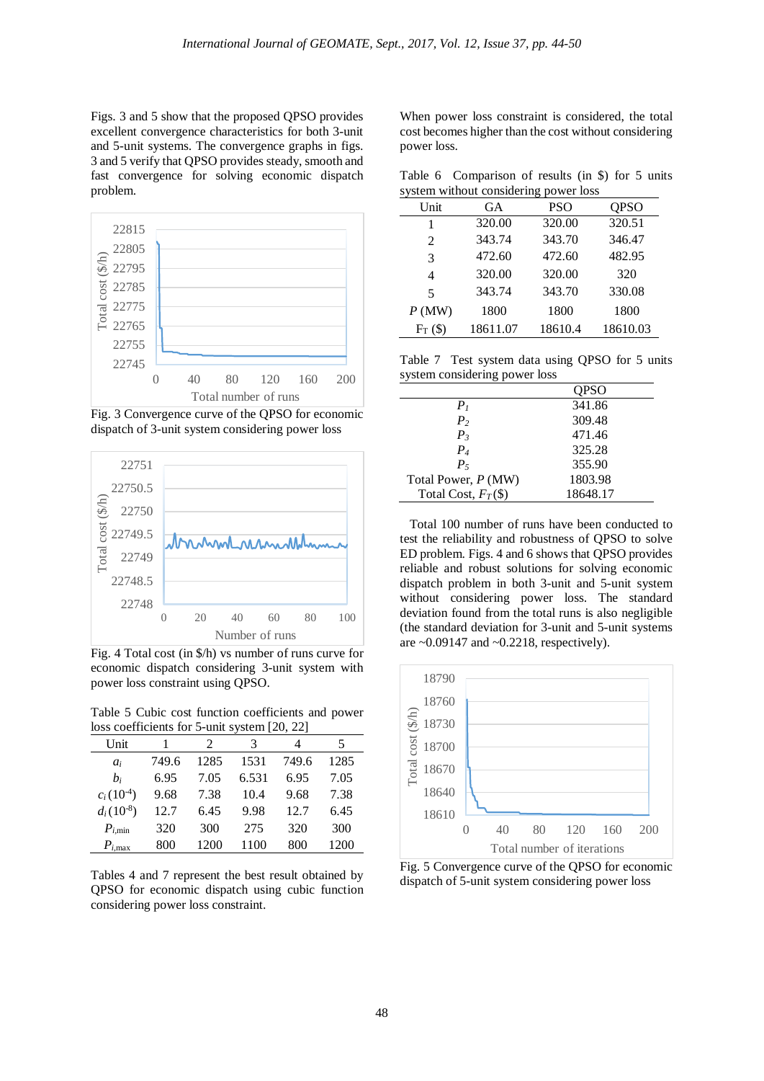Figs. 3 and 5 show that the proposed QPSO provides excellent convergence characteristics for both 3-unit and 5-unit systems. The convergence graphs in figs. 3 and 5 verify that QPSO provides steady, smooth and fast convergence for solving economic dispatch problem.



Fig. 3 Convergence curve of the QPSO for economic dispatch of 3-unit system considering power loss



Fig. 4 Total cost (in \$/h) vs number of runs curve for economic dispatch considering 3-unit system with power loss constraint using QPSO.

Table 5 Cubic cost function coefficients and power loss coefficients for 5-unit system [\[20,](#page-6-16) [22\]](#page-6-18)

| Unit                 |       | 2    | 3     |       | 5    |
|----------------------|-------|------|-------|-------|------|
| $a_i$                | 749.6 | 1285 | 1531  | 749.6 | 1285 |
| $b_i$                | 6.95  | 7.05 | 6.531 | 6.95  | 7.05 |
| $c_i(10^{-4})$       | 9.68  | 7.38 | 10.4  | 9.68  | 7.38 |
| $d_i(10^{-8})$       | 12.7  | 6.45 | 9.98  | 12.7  | 6.45 |
| $P_{i,\min}$         | 320   | 300  | 275   | 320   | 300  |
| $P_{i,\mathrm{max}}$ | 800   | 1200 | 1100  | 800   | 1200 |

Tables 4 and 7 represent the best result obtained by QPSO for economic dispatch using cubic function considering power loss constraint.

When power loss constraint is considered, the total cost becomes higher than the cost without considering power loss.

Table 6 Comparison of results (in \$) for 5 units system without considering power loss

| Unit       | GА       | <b>PSO</b> | QPSO     |
|------------|----------|------------|----------|
| 1          | 320.00   | 320.00     | 320.51   |
| 2          | 343.74   | 343.70     | 346.47   |
| 3          | 472.60   | 472.60     | 482.95   |
| 4          | 320.00   | 320.00     | 320      |
| 5          | 343.74   | 343.70     | 330.08   |
| P(MW)      | 1800     | 1800       | 1800     |
| $F_T$ (\$) | 18611.07 | 18610.4    | 18610.03 |

Table 7 Test system data using QPSO for 5 units system considering power loss

|                       | <b>OPSO</b> |
|-----------------------|-------------|
| P <sub>1</sub>        | 341.86      |
| P <sub>2</sub>        | 309.48      |
| $P_3$                 | 471.46      |
| $P_4$                 | 325.28      |
| $P_5$                 | 355.90      |
| Total Power, P (MW)   | 1803.98     |
| Total Cost, $F_T(\$)$ | 18648.17    |

 Total 100 number of runs have been conducted to test the reliability and robustness of QPSO to solve ED problem. Figs. 4 and 6 shows that QPSO provides reliable and robust solutions for solving economic dispatch problem in both 3-unit and 5-unit system without considering power loss. The standard deviation found from the total runs is also negligible (the standard deviation for 3-unit and 5-unit systems are  $\sim 0.09147$  and  $\sim 0.2218$ , respectively).



Fig. 5 Convergence curve of the QPSO for economic dispatch of 5-unit system considering power loss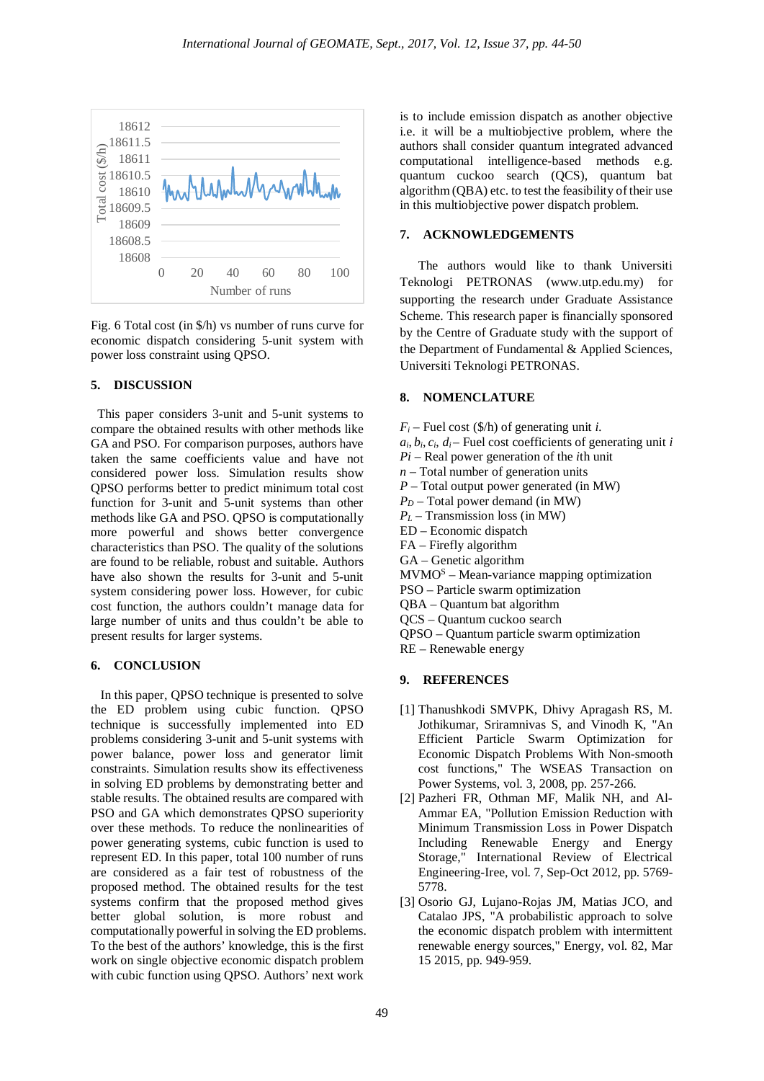

Fig. 6 Total cost (in \$/h) vs number of runs curve for economic dispatch considering 5-unit system with power loss constraint using QPSO.

### **5. DISCUSSION**

 This paper considers 3-unit and 5-unit systems to compare the obtained results with other methods like GA and PSO. For comparison purposes, authors have taken the same coefficients value and have not considered power loss. Simulation results show QPSO performs better to predict minimum total cost function for 3-unit and 5-unit systems than other methods like GA and PSO. QPSO is computationally more powerful and shows better convergence characteristics than PSO. The quality of the solutions are found to be reliable, robust and suitable. Authors have also shown the results for 3-unit and 5-unit system considering power loss. However, for cubic cost function, the authors couldn't manage data for large number of units and thus couldn't be able to present results for larger systems.

#### **6. CONCLUSION**

 In this paper, QPSO technique is presented to solve the ED problem using cubic function. QPSO technique is successfully implemented into ED problems considering 3-unit and 5-unit systems with power balance, power loss and generator limit constraints. Simulation results show its effectiveness in solving ED problems by demonstrating better and stable results. The obtained results are compared with PSO and GA which demonstrates QPSO superiority over these methods. To reduce the nonlinearities of power generating systems, cubic function is used to represent ED. In this paper, total 100 number of runs are considered as a fair test of robustness of the proposed method. The obtained results for the test systems confirm that the proposed method gives better global solution, is more robust and computationally powerful in solving the ED problems. To the best of the authors' knowledge, this is the first work on single objective economic dispatch problem with cubic function using QPSO. Authors' next work

is to include emission dispatch as another objective i.e. it will be a multiobjective problem, where the authors shall consider quantum integrated advanced computational intelligence-based methods e.g. quantum cuckoo search (QCS), quantum bat algorithm (QBA) etc. to test the feasibility of their use in this multiobjective power dispatch problem.

## **7. ACKNOWLEDGEMENTS**

The authors would like to thank Universiti Teknologi PETRONAS (www.utp.edu.my) for supporting the research under Graduate Assistance Scheme. This research paper is financially sponsored by the Centre of Graduate study with the support of the Department of Fundamental & Applied Sciences, Universiti Teknologi PETRONAS.

#### **8. NOMENCLATURE**

- $F_i$  Fuel cost (\$/h) of generating unit *i*.
- $a_i, b_i, c_i, d_i$  Fuel cost coefficients of generating unit *i*
- *Pi –* Real power generation of the *i*th unit
- *n –* Total number of generation units
- *P –* Total output power generated (in MW)
- $P_D$  Total power demand (in MW)
- *PL –* Transmission loss (in MW)
- ED Economic dispatch
- FA Firefly algorithm
- GA Genetic algorithm
- MVMOS Mean-variance mapping optimization
- PSO Particle swarm optimization
- QBA Quantum bat algorithm
- QCS Quantum cuckoo search
- QPSO Quantum particle swarm optimization
- RE Renewable energy

## **9. REFERENCES**

- <span id="page-5-0"></span>[1] Thanushkodi SMVPK, Dhivy Apragash RS, M. Jothikumar, Sriramnivas S, and Vinodh K, "An Efficient Particle Swarm Optimization for Economic Dispatch Problems With Non-smooth cost functions," The WSEAS Transaction on Power Systems, vol. 3, 2008, pp. 257-266.
- <span id="page-5-1"></span>[2] Pazheri FR, Othman MF, Malik NH, and Al-Ammar EA, "Pollution Emission Reduction with Minimum Transmission Loss in Power Dispatch Including Renewable Energy and Energy Storage," International Review of Electrical Engineering-Iree, vol. 7, Sep-Oct 2012, pp. 5769- 5778.
- <span id="page-5-2"></span>[3] Osorio GJ, Lujano-Rojas JM, Matias JCO, and Catalao JPS, "A probabilistic approach to solve the economic dispatch problem with intermittent renewable energy sources," Energy, vol. 82, Mar 15 2015, pp. 949-959.